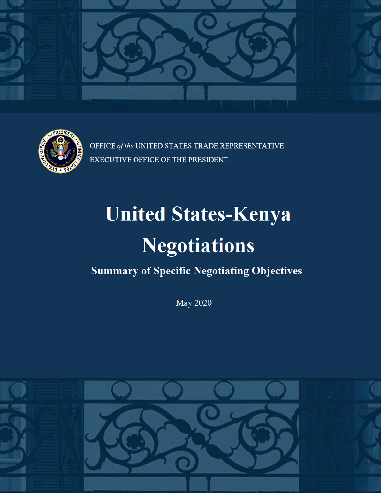



OFFICE of the UNITED STATES TRADE REPRESENTATIVE **EXECUTIVE OFFICE OF THE PRESIDENT** 

# **United States-Kenya Negotiations**

## **Summary of Specific Negotiating Objectives**

**May 2020** 

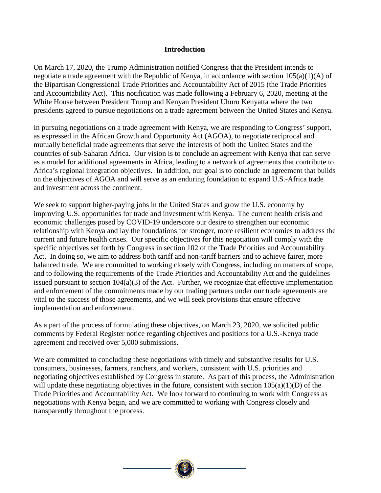#### **Introduction**

On March 17, 2020, the Trump Administration notified Congress that the President intends to negotiate a trade agreement with the Republic of Kenya, in accordance with section 105(a)(1)(A) of the Bipartisan Congressional Trade Priorities and Accountability Act of 2015 (the Trade Priorities and Accountability Act). This notification was made following a February 6, 2020, meeting at the White House between President Trump and Kenyan President Uhuru Kenyatta where the two presidents agreed to pursue negotiations on a trade agreement between the United States and Kenya.

In pursuing negotiations on a trade agreement with Kenya, we are responding to Congress' support, as expressed in the African Growth and Opportunity Act (AGOA), to negotiate reciprocal and mutually beneficial trade agreements that serve the interests of both the United States and the countries of sub-Saharan Africa. Our vision is to conclude an agreement with Kenya that can serve as a model for additional agreements in Africa, leading to a network of agreements that contribute to Africa's regional integration objectives. In addition, our goal is to conclude an agreement that builds on the objectives of AGOA and will serve as an enduring foundation to expand U.S.-Africa trade and investment across the continent.

We seek to support higher-paying jobs in the United States and grow the U.S. economy by improving U.S. opportunities for trade and investment with Kenya. The current health crisis and economic challenges posed by COVID-19 underscore our desire to strengthen our economic relationship with Kenya and lay the foundations for stronger, more resilient economies to address the current and future health crises. Our specific objectives for this negotiation will comply with the specific objectives set forth by Congress in section 102 of the Trade Priorities and Accountability Act. In doing so, we aim to address both tariff and non-tariff barriers and to achieve fairer, more balanced trade. We are committed to working closely with Congress, including on matters of scope, and to following the requirements of the Trade Priorities and Accountability Act and the guidelines issued pursuant to section 104(a)(3) of the Act. Further, we recognize that effective implementation and enforcement of the commitments made by our trading partners under our trade agreements are vital to the success of those agreements, and we will seek provisions that ensure effective implementation and enforcement.

As a part of the process of formulating these objectives, on March 23, 2020, we solicited public comments by Federal Register notice regarding objectives and positions for a U.S.-Kenya trade agreement and received over 5,000 submissions.

We are committed to concluding these negotiations with timely and substantive results for U.S. consumers, businesses, farmers, ranchers, and workers, consistent with U.S. priorities and negotiating objectives established by Congress in statute. As part of this process, the Administration will update these negotiating objectives in the future, consistent with section  $105(a)(1)(D)$  of the Trade Priorities and Accountability Act. We look forward to continuing to work with Congress as negotiations with Kenya begin, and we are committed to working with Congress closely and transparently throughout the process.

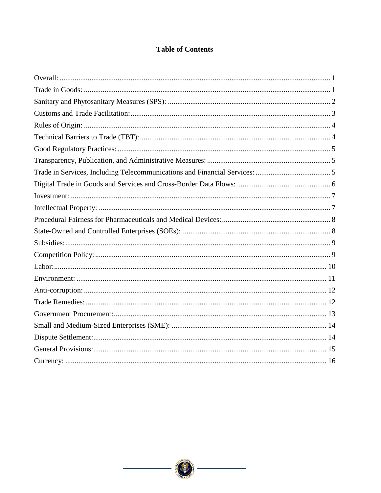#### **Table of Contents**

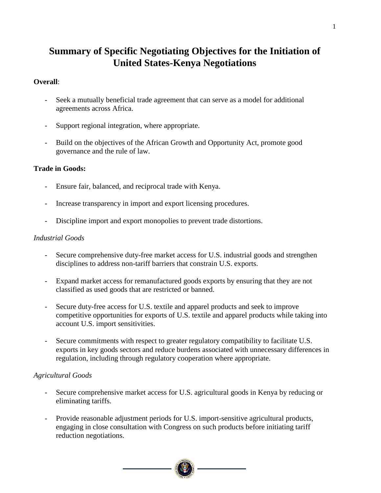### **Summary of Specific Negotiating Objectives for the Initiation of United States-Kenya Negotiations**

#### <span id="page-3-0"></span>**Overall**:

- Seek a mutually beneficial trade agreement that can serve as a model for additional agreements across Africa.
- Support regional integration, where appropriate.
- Build on the objectives of the African Growth and Opportunity Act, promote good governance and the rule of law.

#### <span id="page-3-1"></span>**Trade in Goods:**

- Ensure fair, balanced, and reciprocal trade with Kenya.
- Increase transparency in import and export licensing procedures.
- Discipline import and export monopolies to prevent trade distortions.

#### *Industrial Goods*

- Secure comprehensive duty-free market access for U.S. industrial goods and strengthen disciplines to address non-tariff barriers that constrain U.S. exports.
- Expand market access for remanufactured goods exports by ensuring that they are not classified as used goods that are restricted or banned.
- Secure duty-free access for U.S. textile and apparel products and seek to improve competitive opportunities for exports of U.S. textile and apparel products while taking into account U.S. import sensitivities.
- Secure commitments with respect to greater regulatory compatibility to facilitate U.S. exports in key goods sectors and reduce burdens associated with unnecessary differences in regulation, including through regulatory cooperation where appropriate.

#### *Agricultural Goods*

- Secure comprehensive market access for U.S. agricultural goods in Kenya by reducing or eliminating tariffs.
- Provide reasonable adjustment periods for U.S. import-sensitive agricultural products, engaging in close consultation with Congress on such products before initiating tariff reduction negotiations.



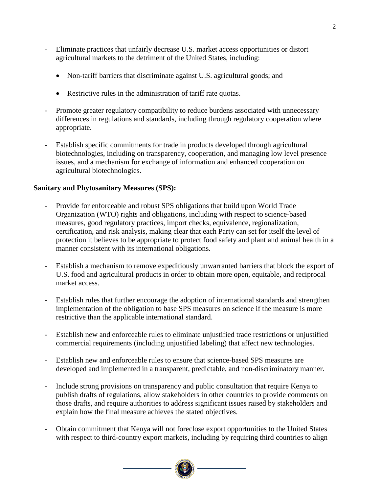- Eliminate practices that unfairly decrease U.S. market access opportunities or distort agricultural markets to the detriment of the United States, including:
	- Non-tariff barriers that discriminate against U.S. agricultural goods; and
	- Restrictive rules in the administration of tariff rate quotas.
- Promote greater regulatory compatibility to reduce burdens associated with unnecessary differences in regulations and standards, including through regulatory cooperation where appropriate.
- Establish specific commitments for trade in products developed through agricultural biotechnologies, including on transparency, cooperation, and managing low level presence issues, and a mechanism for exchange of information and enhanced cooperation on agricultural biotechnologies.

#### <span id="page-4-0"></span>**Sanitary and Phytosanitary Measures (SPS):**

- Provide for enforceable and robust SPS obligations that build upon World Trade Organization (WTO) rights and obligations, including with respect to science-based measures, good regulatory practices, import checks, equivalence, regionalization, certification, and risk analysis, making clear that each Party can set for itself the level of protection it believes to be appropriate to protect food safety and plant and animal health in a manner consistent with its international obligations.
- Establish a mechanism to remove expeditiously unwarranted barriers that block the export of U.S. food and agricultural products in order to obtain more open, equitable, and reciprocal market access.
- Establish rules that further encourage the adoption of international standards and strengthen implementation of the obligation to base SPS measures on science if the measure is more restrictive than the applicable international standard.
- Establish new and enforceable rules to eliminate unjustified trade restrictions or unjustified commercial requirements (including unjustified labeling) that affect new technologies.
- Establish new and enforceable rules to ensure that science-based SPS measures are developed and implemented in a transparent, predictable, and non-discriminatory manner.
- Include strong provisions on transparency and public consultation that require Kenya to publish drafts of regulations, allow stakeholders in other countries to provide comments on those drafts, and require authorities to address significant issues raised by stakeholders and explain how the final measure achieves the stated objectives.
- Obtain commitment that Kenya will not foreclose export opportunities to the United States with respect to third-country export markets, including by requiring third countries to align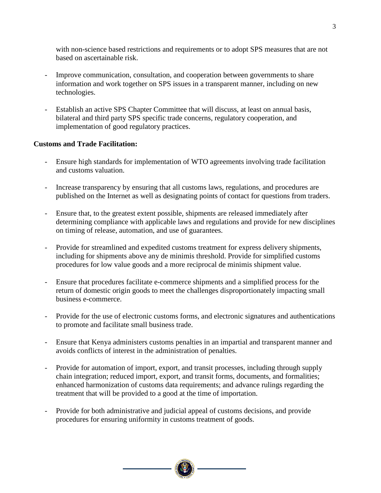with non-science based restrictions and requirements or to adopt SPS measures that are not based on ascertainable risk.

- Improve communication, consultation, and cooperation between governments to share information and work together on SPS issues in a transparent manner, including on new technologies.
- Establish an active SPS Chapter Committee that will discuss, at least on annual basis, bilateral and third party SPS specific trade concerns, regulatory cooperation, and implementation of good regulatory practices.

#### <span id="page-5-0"></span>**Customs and Trade Facilitation:**

- Ensure high standards for implementation of WTO agreements involving trade facilitation and customs valuation.
- Increase transparency by ensuring that all customs laws, regulations, and procedures are published on the Internet as well as designating points of contact for questions from traders.
- Ensure that, to the greatest extent possible, shipments are released immediately after determining compliance with applicable laws and regulations and provide for new disciplines on timing of release, automation, and use of guarantees.
- Provide for streamlined and expedited customs treatment for express delivery shipments, including for shipments above any de minimis threshold. Provide for simplified customs procedures for low value goods and a more reciprocal de minimis shipment value.
- Ensure that procedures facilitate e-commerce shipments and a simplified process for the return of domestic origin goods to meet the challenges disproportionately impacting small business e-commerce.
- Provide for the use of electronic customs forms, and electronic signatures and authentications to promote and facilitate small business trade.
- Ensure that Kenya administers customs penalties in an impartial and transparent manner and avoids conflicts of interest in the administration of penalties.
- Provide for automation of import, export, and transit processes, including through supply chain integration; reduced import, export, and transit forms, documents, and formalities; enhanced harmonization of customs data requirements; and advance rulings regarding the treatment that will be provided to a good at the time of importation.
- Provide for both administrative and judicial appeal of customs decisions, and provide procedures for ensuring uniformity in customs treatment of goods.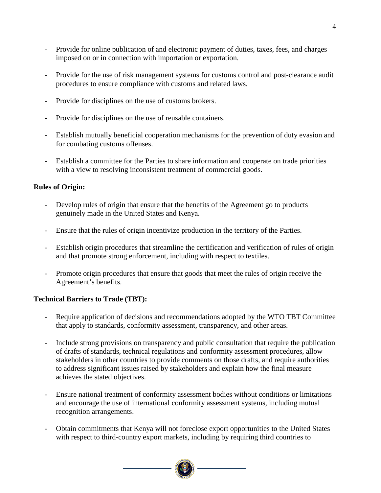- Provide for online publication of and electronic payment of duties, taxes, fees, and charges imposed on or in connection with importation or exportation.
- Provide for the use of risk management systems for customs control and post-clearance audit procedures to ensure compliance with customs and related laws.
- Provide for disciplines on the use of customs brokers.
- Provide for disciplines on the use of reusable containers.
- Establish mutually beneficial cooperation mechanisms for the prevention of duty evasion and for combating customs offenses.
- Establish a committee for the Parties to share information and cooperate on trade priorities with a view to resolving inconsistent treatment of commercial goods.

#### <span id="page-6-0"></span>**Rules of Origin:**

- Develop rules of origin that ensure that the benefits of the Agreement go to products genuinely made in the United States and Kenya.
- Ensure that the rules of origin incentivize production in the territory of the Parties.
- Establish origin procedures that streamline the certification and verification of rules of origin and that promote strong enforcement, including with respect to textiles.
- Promote origin procedures that ensure that goods that meet the rules of origin receive the Agreement's benefits.

#### <span id="page-6-1"></span>**Technical Barriers to Trade (TBT):**

- Require application of decisions and recommendations adopted by the WTO TBT Committee that apply to standards, conformity assessment, transparency, and other areas.
- Include strong provisions on transparency and public consultation that require the publication of drafts of standards, technical regulations and conformity assessment procedures, allow stakeholders in other countries to provide comments on those drafts, and require authorities to address significant issues raised by stakeholders and explain how the final measure achieves the stated objectives.
- Ensure national treatment of conformity assessment bodies without conditions or limitations and encourage the use of international conformity assessment systems, including mutual recognition arrangements.
- Obtain commitments that Kenya will not foreclose export opportunities to the United States with respect to third-country export markets, including by requiring third countries to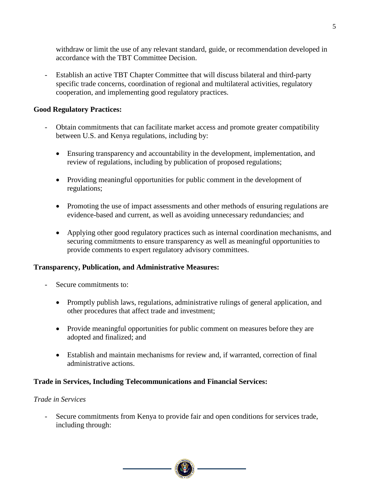withdraw or limit the use of any relevant standard, guide, or recommendation developed in accordance with the TBT Committee Decision.

Establish an active TBT Chapter Committee that will discuss bilateral and third-party specific trade concerns, coordination of regional and multilateral activities, regulatory cooperation, and implementing good regulatory practices.

#### <span id="page-7-0"></span>**Good Regulatory Practices:**

- Obtain commitments that can facilitate market access and promote greater compatibility between U.S. and Kenya regulations, including by:
	- Ensuring transparency and accountability in the development, implementation, and review of regulations, including by publication of proposed regulations;
	- Providing meaningful opportunities for public comment in the development of regulations;
	- Promoting the use of impact assessments and other methods of ensuring regulations are evidence-based and current, as well as avoiding unnecessary redundancies; and
	- Applying other good regulatory practices such as internal coordination mechanisms, and securing commitments to ensure transparency as well as meaningful opportunities to provide comments to expert regulatory advisory committees.

#### <span id="page-7-1"></span>**Transparency, Publication, and Administrative Measures:**

- Secure commitments to:
	- Promptly publish laws, regulations, administrative rulings of general application, and other procedures that affect trade and investment;
	- Provide meaningful opportunities for public comment on measures before they are adopted and finalized; and
	- Establish and maintain mechanisms for review and, if warranted, correction of final administrative actions.

#### <span id="page-7-2"></span>**Trade in Services, Including Telecommunications and Financial Services:**

#### *Trade in Services*

Secure commitments from Kenya to provide fair and open conditions for services trade, including through:

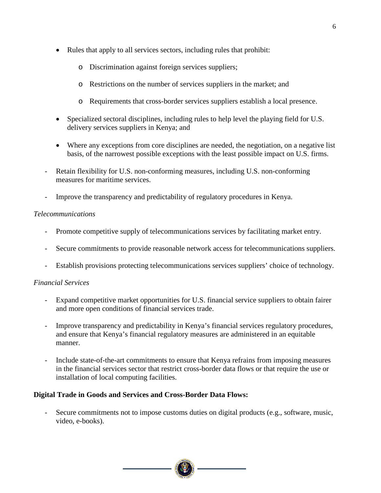- Rules that apply to all services sectors, including rules that prohibit:
	- o Discrimination against foreign services suppliers;
	- o Restrictions on the number of services suppliers in the market; and
	- o Requirements that cross-border services suppliers establish a local presence.
- Specialized sectoral disciplines, including rules to help level the playing field for U.S. delivery services suppliers in Kenya; and
- Where any exceptions from core disciplines are needed, the negotiation, on a negative list basis, of the narrowest possible exceptions with the least possible impact on U.S. firms.
- Retain flexibility for U.S. non-conforming measures, including U.S. non-conforming measures for maritime services.
- Improve the transparency and predictability of regulatory procedures in Kenya.

#### *Telecommunications*

- Promote competitive supply of telecommunications services by facilitating market entry.
- Secure commitments to provide reasonable network access for telecommunications suppliers.
- Establish provisions protecting telecommunications services suppliers' choice of technology.

#### *Financial Services*

- Expand competitive market opportunities for U.S. financial service suppliers to obtain fairer and more open conditions of financial services trade.
- Improve transparency and predictability in Kenya's financial services regulatory procedures, and ensure that Kenya's financial regulatory measures are administered in an equitable manner.
- Include state-of-the-art commitments to ensure that Kenya refrains from imposing measures in the financial services sector that restrict cross-border data flows or that require the use or installation of local computing facilities.

#### <span id="page-8-0"></span>**Digital Trade in Goods and Services and Cross-Border Data Flows:**

- Secure commitments not to impose customs duties on digital products (e.g., software, music, video, e-books).

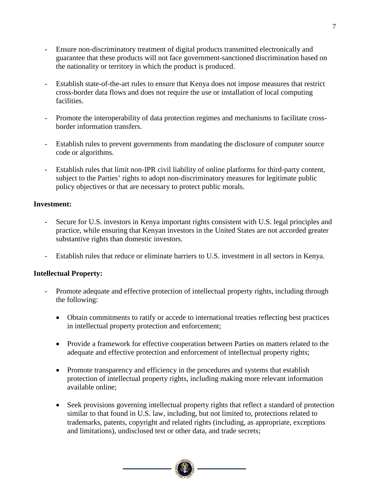- Ensure non-discriminatory treatment of digital products transmitted electronically and guarantee that these products will not face government-sanctioned discrimination based on the nationality or territory in which the product is produced.
- Establish state-of-the-art rules to ensure that Kenya does not impose measures that restrict cross-border data flows and does not require the use or installation of local computing facilities.
- Promote the interoperability of data protection regimes and mechanisms to facilitate crossborder information transfers.
- Establish rules to prevent governments from mandating the disclosure of computer source code or algorithms.
- Establish rules that limit non-IPR civil liability of online platforms for third-party content, subject to the Parties' rights to adopt non-discriminatory measures for legitimate public policy objectives or that are necessary to protect public morals.

#### <span id="page-9-0"></span>**Investment:**

- Secure for U.S. investors in Kenya important rights consistent with U.S. legal principles and practice, while ensuring that Kenyan investors in the United States are not accorded greater substantive rights than domestic investors.
- Establish rules that reduce or eliminate barriers to U.S. investment in all sectors in Kenya.

#### <span id="page-9-1"></span>**Intellectual Property:**

- Promote adequate and effective protection of intellectual property rights, including through the following:
	- Obtain commitments to ratify or accede to international treaties reflecting best practices in intellectual property protection and enforcement;
	- Provide a framework for effective cooperation between Parties on matters related to the adequate and effective protection and enforcement of intellectual property rights;
	- Promote transparency and efficiency in the procedures and systems that establish protection of intellectual property rights, including making more relevant information available online;
	- Seek provisions governing intellectual property rights that reflect a standard of protection similar to that found in U.S. law, including, but not limited to, protections related to trademarks, patents, copyright and related rights (including, as appropriate, exceptions and limitations), undisclosed test or other data, and trade secrets;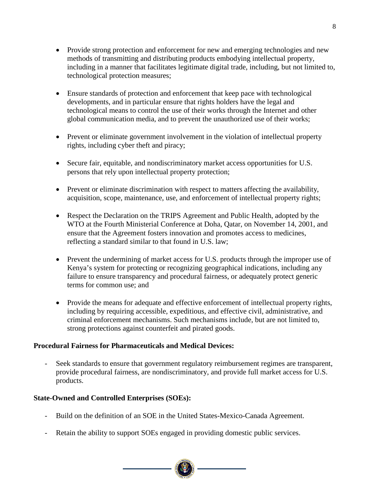- Provide strong protection and enforcement for new and emerging technologies and new methods of transmitting and distributing products embodying intellectual property, including in a manner that facilitates legitimate digital trade, including, but not limited to, technological protection measures;
- Ensure standards of protection and enforcement that keep pace with technological developments, and in particular ensure that rights holders have the legal and technological means to control the use of their works through the Internet and other global communication media, and to prevent the unauthorized use of their works;
- Prevent or eliminate government involvement in the violation of intellectual property rights, including cyber theft and piracy;
- Secure fair, equitable, and nondiscriminatory market access opportunities for U.S. persons that rely upon intellectual property protection;
- Prevent or eliminate discrimination with respect to matters affecting the availability, acquisition, scope, maintenance, use, and enforcement of intellectual property rights;
- Respect the Declaration on the TRIPS Agreement and Public Health, adopted by the WTO at the Fourth Ministerial Conference at Doha, Qatar, on November 14, 2001, and ensure that the Agreement fosters innovation and promotes access to medicines, reflecting a standard similar to that found in U.S. law;
- Prevent the undermining of market access for U.S. products through the improper use of Kenya's system for protecting or recognizing geographical indications, including any failure to ensure transparency and procedural fairness, or adequately protect generic terms for common use; and
- Provide the means for adequate and effective enforcement of intellectual property rights, including by requiring accessible, expeditious, and effective civil, administrative, and criminal enforcement mechanisms. Such mechanisms include, but are not limited to, strong protections against counterfeit and pirated goods.

#### <span id="page-10-0"></span>**Procedural Fairness for Pharmaceuticals and Medical Devices:**

- Seek standards to ensure that government regulatory reimbursement regimes are transparent, provide procedural fairness, are nondiscriminatory, and provide full market access for U.S. products.

#### <span id="page-10-1"></span>**State-Owned and Controlled Enterprises (SOEs):**

- Build on the definition of an SOE in the United States-Mexico-Canada Agreement.
- Retain the ability to support SOEs engaged in providing domestic public services.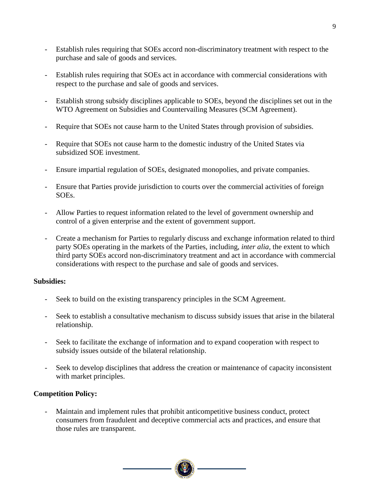- Establish rules requiring that SOEs accord non-discriminatory treatment with respect to the purchase and sale of goods and services.
- Establish rules requiring that SOEs act in accordance with commercial considerations with respect to the purchase and sale of goods and services.
- Establish strong subsidy disciplines applicable to SOEs, beyond the disciplines set out in the WTO Agreement on Subsidies and Countervailing Measures (SCM Agreement).
- Require that SOEs not cause harm to the United States through provision of subsidies.
- Require that SOEs not cause harm to the domestic industry of the United States via subsidized SOE investment.
- Ensure impartial regulation of SOEs, designated monopolies, and private companies.
- Ensure that Parties provide jurisdiction to courts over the commercial activities of foreign SOEs.
- Allow Parties to request information related to the level of government ownership and control of a given enterprise and the extent of government support.
- Create a mechanism for Parties to regularly discuss and exchange information related to third party SOEs operating in the markets of the Parties, including, *inter alia,* the extent to which third party SOEs accord non-discriminatory treatment and act in accordance with commercial considerations with respect to the purchase and sale of goods and services.

#### <span id="page-11-0"></span>**Subsidies:**

- Seek to build on the existing transparency principles in the SCM Agreement.
- Seek to establish a consultative mechanism to discuss subsidy issues that arise in the bilateral relationship.
- Seek to facilitate the exchange of information and to expand cooperation with respect to subsidy issues outside of the bilateral relationship.
- Seek to develop disciplines that address the creation or maintenance of capacity inconsistent with market principles.

#### <span id="page-11-1"></span>**Competition Policy:**

- Maintain and implement rules that prohibit anticompetitive business conduct, protect consumers from fraudulent and deceptive commercial acts and practices, and ensure that those rules are transparent.

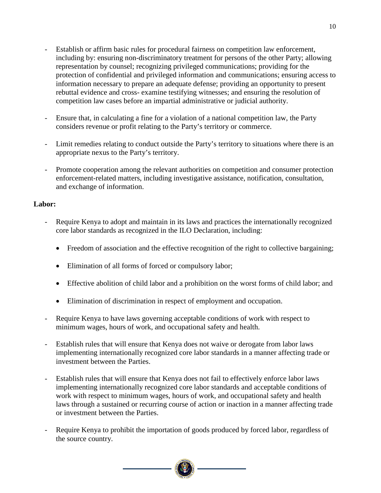- Establish or affirm basic rules for procedural fairness on competition law enforcement, including by: ensuring non-discriminatory treatment for persons of the other Party; allowing representation by counsel; recognizing privileged communications; providing for the protection of confidential and privileged information and communications; ensuring access to information necessary to prepare an adequate defense; providing an opportunity to present rebuttal evidence and cross- examine testifying witnesses; and ensuring the resolution of competition law cases before an impartial administrative or judicial authority.
- Ensure that, in calculating a fine for a violation of a national competition law, the Party considers revenue or profit relating to the Party's territory or commerce.
- Limit remedies relating to conduct outside the Party's territory to situations where there is an appropriate nexus to the Party's territory.
- Promote cooperation among the relevant authorities on competition and consumer protection enforcement-related matters, including investigative assistance, notification, consultation, and exchange of information.

#### <span id="page-12-0"></span>**Labor:**

- Require Kenya to adopt and maintain in its laws and practices the internationally recognized core labor standards as recognized in the ILO Declaration, including:
	- Freedom of association and the effective recognition of the right to collective bargaining;
	- Elimination of all forms of forced or compulsory labor;
	- Effective abolition of child labor and a prohibition on the worst forms of child labor; and
	- Elimination of discrimination in respect of employment and occupation.
- Require Kenya to have laws governing acceptable conditions of work with respect to minimum wages, hours of work, and occupational safety and health.
- Establish rules that will ensure that Kenya does not waive or derogate from labor laws implementing internationally recognized core labor standards in a manner affecting trade or investment between the Parties.
- Establish rules that will ensure that Kenya does not fail to effectively enforce labor laws implementing internationally recognized core labor standards and acceptable conditions of work with respect to minimum wages, hours of work, and occupational safety and health laws through a sustained or recurring course of action or inaction in a manner affecting trade or investment between the Parties.
- Require Kenya to prohibit the importation of goods produced by forced labor, regardless of the source country.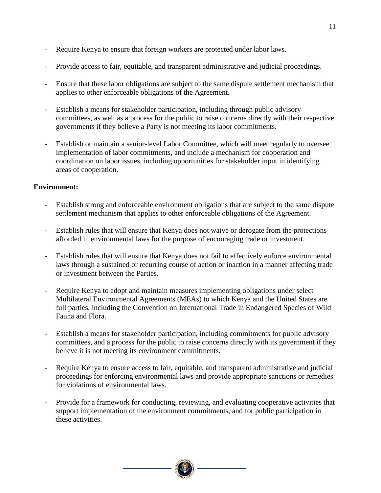- Require Kenya to ensure that foreign workers are protected under labor laws.
- Provide access to fair, equitable, and transparent administrative and judicial proceedings.
- Ensure that these labor obligations are subject to the same dispute settlement mechanism that applies to other enforceable obligations of the Agreement.
- Establish a means for stakeholder participation, including through public advisory committees, as well as a process for the public to raise concerns directly with their respective governments if they believe a Party is not meeting its labor commitments.
- Establish or maintain a senior-level Labor Committee, which will meet regularly to oversee implementation of labor commitments, and include a mechanism for cooperation and coordination on labor issues, including opportunities for stakeholder input in identifying areas of cooperation.

#### <span id="page-13-0"></span>**Environment:**

- Establish strong and enforceable environment obligations that are subject to the same dispute settlement mechanism that applies to other enforceable obligations of the Agreement.
- Establish rules that will ensure that Kenya does not waive or derogate from the protections afforded in environmental laws for the purpose of encouraging trade or investment.
- Establish rules that will ensure that Kenya does not fail to effectively enforce environmental laws through a sustained or recurring course of action or inaction in a manner affecting trade or investment between the Parties.
- Require Kenya to adopt and maintain measures implementing obligations under select Multilateral Environmental Agreements (MEAs) to which Kenya and the United States are full parties, including the Convention on International Trade in Endangered Species of Wild Fauna and Flora.
- Establish a means for stakeholder participation, including commitments for public advisory committees, and a process for the public to raise concerns directly with its government if they believe it is not meeting its environment commitments.
- Require Kenya to ensure access to fair, equitable, and transparent administrative and judicial proceedings for enforcing environmental laws and provide appropriate sanctions or remedies for violations of environmental laws.
- Provide for a framework for conducting, reviewing, and evaluating cooperative activities that support implementation of the environment commitments, and for public participation in these activities.

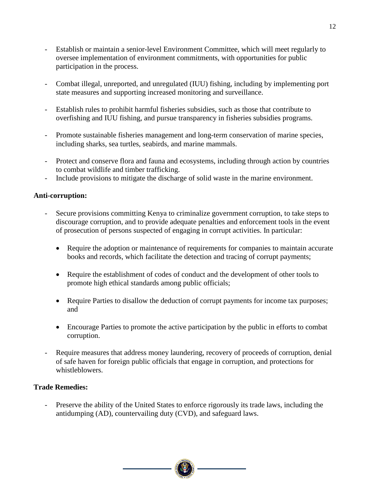- Establish or maintain a senior-level Environment Committee, which will meet regularly to oversee implementation of environment commitments, with opportunities for public participation in the process.
- Combat illegal, unreported, and unregulated (IUU) fishing, including by implementing port state measures and supporting increased monitoring and surveillance.
- Establish rules to prohibit harmful fisheries subsidies, such as those that contribute to overfishing and IUU fishing, and pursue transparency in fisheries subsidies programs.
- Promote sustainable fisheries management and long-term conservation of marine species, including sharks, sea turtles, seabirds, and marine mammals.
- Protect and conserve flora and fauna and ecosystems, including through action by countries to combat wildlife and timber trafficking.
- Include provisions to mitigate the discharge of solid waste in the marine environment.

#### <span id="page-14-0"></span>**Anti-corruption:**

- Secure provisions committing Kenya to criminalize government corruption, to take steps to discourage corruption, and to provide adequate penalties and enforcement tools in the event of prosecution of persons suspected of engaging in corrupt activities. In particular:
	- Require the adoption or maintenance of requirements for companies to maintain accurate books and records, which facilitate the detection and tracing of corrupt payments;
	- Require the establishment of codes of conduct and the development of other tools to promote high ethical standards among public officials;
	- Require Parties to disallow the deduction of corrupt payments for income tax purposes; and
	- Encourage Parties to promote the active participation by the public in efforts to combat corruption.
- Require measures that address money laundering, recovery of proceeds of corruption, denial of safe haven for foreign public officials that engage in corruption, and protections for whistleblowers.

#### <span id="page-14-1"></span>**Trade Remedies:**

- Preserve the ability of the United States to enforce rigorously its trade laws, including the antidumping (AD), countervailing duty (CVD), and safeguard laws.

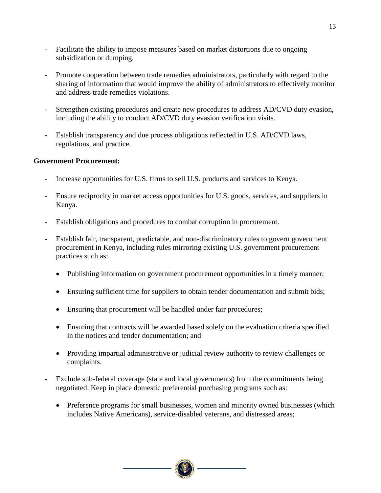- Facilitate the ability to impose measures based on market distortions due to ongoing subsidization or dumping.
- Promote cooperation between trade remedies administrators, particularly with regard to the sharing of information that would improve the ability of administrators to effectively monitor and address trade remedies violations.
- Strengthen existing procedures and create new procedures to address AD/CVD duty evasion, including the ability to conduct AD/CVD duty evasion verification visits.
- Establish transparency and due process obligations reflected in U.S. AD/CVD laws, regulations, and practice.

#### <span id="page-15-0"></span>**Government Procurement:**

- Increase opportunities for U.S. firms to sell U.S. products and services to Kenya.
- Ensure reciprocity in market access opportunities for U.S. goods, services, and suppliers in Kenya.
- Establish obligations and procedures to combat corruption in procurement.
- Establish fair, transparent, predictable, and non-discriminatory rules to govern government procurement in Kenya, including rules mirroring existing U.S. government procurement practices such as:
	- Publishing information on government procurement opportunities in a timely manner;
	- Ensuring sufficient time for suppliers to obtain tender documentation and submit bids;
	- Ensuring that procurement will be handled under fair procedures;
	- Ensuring that contracts will be awarded based solely on the evaluation criteria specified in the notices and tender documentation; and
	- Providing impartial administrative or judicial review authority to review challenges or complaints.
- Exclude sub-federal coverage (state and local governments) from the commitments being negotiated. Keep in place domestic preferential purchasing programs such as:
	- Preference programs for small businesses, women and minority owned businesses (which includes Native Americans), service-disabled veterans, and distressed areas;

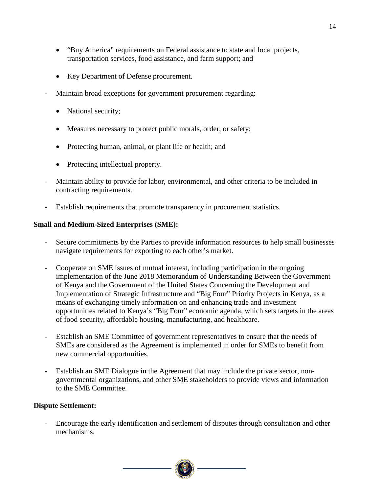- "Buy America" requirements on Federal assistance to state and local projects, transportation services, food assistance, and farm support; and
- Key Department of Defense procurement.
- Maintain broad exceptions for government procurement regarding:
	- National security;
	- Measures necessary to protect public morals, order, or safety;
	- Protecting human, animal, or plant life or health; and
	- Protecting intellectual property.
- Maintain ability to provide for labor, environmental, and other criteria to be included in contracting requirements.
- Establish requirements that promote transparency in procurement statistics.

#### <span id="page-16-0"></span>**Small and Medium-Sized Enterprises (SME):**

- Secure commitments by the Parties to provide information resources to help small businesses navigate requirements for exporting to each other's market.
- Cooperate on SME issues of mutual interest, including participation in the ongoing implementation of the June 2018 Memorandum of Understanding Between the Government of Kenya and the Government of the United States Concerning the Development and Implementation of Strategic Infrastructure and "Big Four" Priority Projects in Kenya, as a means of exchanging timely information on and enhancing trade and investment opportunities related to Kenya's "Big Four" economic agenda, which sets targets in the areas of food security, affordable housing, manufacturing, and healthcare.
- Establish an SME Committee of government representatives to ensure that the needs of SMEs are considered as the Agreement is implemented in order for SMEs to benefit from new commercial opportunities.
- Establish an SME Dialogue in the Agreement that may include the private sector, nongovernmental organizations, and other SME stakeholders to provide views and information to the SME Committee.

#### <span id="page-16-1"></span>**Dispute Settlement:**

- Encourage the early identification and settlement of disputes through consultation and other mechanisms.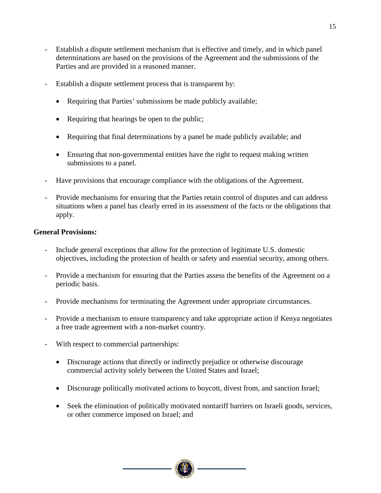- Establish a dispute settlement mechanism that is effective and timely, and in which panel determinations are based on the provisions of the Agreement and the submissions of the Parties and are provided in a reasoned manner.
- Establish a dispute settlement process that is transparent by:
	- Requiring that Parties' submissions be made publicly available;
	- Requiring that hearings be open to the public;
	- Requiring that final determinations by a panel be made publicly available; and
	- Ensuring that non-governmental entities have the right to request making written submissions to a panel.
- Have provisions that encourage compliance with the obligations of the Agreement.
- Provide mechanisms for ensuring that the Parties retain control of disputes and can address situations when a panel has clearly erred in its assessment of the facts or the obligations that apply.

#### <span id="page-17-0"></span>**General Provisions:**

- Include general exceptions that allow for the protection of legitimate U.S. domestic objectives, including the protection of health or safety and essential security, among others.
- Provide a mechanism for ensuring that the Parties assess the benefits of the Agreement on a periodic basis.
- Provide mechanisms for terminating the Agreement under appropriate circumstances.
- Provide a mechanism to ensure transparency and take appropriate action if Kenya negotiates a free trade agreement with a non-market country.
- With respect to commercial partnerships:
	- Discourage actions that directly or indirectly prejudice or otherwise discourage commercial activity solely between the United States and Israel;
	- Discourage politically motivated actions to boycott, divest from, and sanction Israel;
	- Seek the elimination of politically motivated nontariff barriers on Israeli goods, services, or other commerce imposed on Israel; and